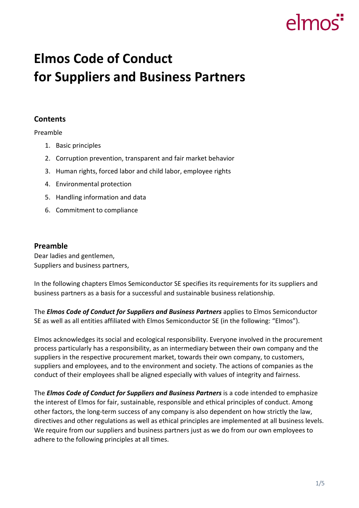# elmos

# **Elmos Code of Conduct for Suppliers and Business Partners**

# **Contents**

Preamble

- 1. Basic principles
- 2. Corruption prevention, transparent and fair market behavior
- 3. Human rights, forced labor and child labor, employee rights
- 4. Environmental protection
- 5. Handling information and data
- 6. Commitment to compliance

### **Preamble**

Dear ladies and gentlemen, Suppliers and business partners,

In the following chapters Elmos Semiconductor SE specifies its requirements for its suppliers and business partners as a basis for a successful and sustainable business relationship.

The *Elmos Code of Conduct for Suppliers and Business Partners* applies to Elmos Semiconductor SE as well as all entities affiliated with Elmos Semiconductor SE (in the following: "Elmos").

Elmos acknowledges its social and ecological responsibility. Everyone involved in the procurement process particularly has a responsibility, as an intermediary between their own company and the suppliers in the respective procurement market, towards their own company, to customers, suppliers and employees, and to the environment and society. The actions of companies as the conduct of their employees shall be aligned especially with values of integrity and fairness.

The *Elmos Code of Conduct for Suppliers and Business Partners* is a code intended to emphasize the interest of Elmos for fair, sustainable, responsible and ethical principles of conduct. Among other factors, the long-term success of any company is also dependent on how strictly the law, directives and other regulations as well as ethical principles are implemented at all business levels. We require from our suppliers and business partners just as we do from our own employees to adhere to the following principles at all times.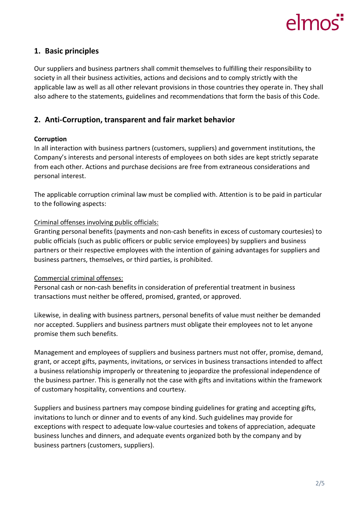# $\epsilon$ mo

# **1. Basic principles**

Our suppliers and business partners shall commit themselves to fulfilling their responsibility to society in all their business activities, actions and decisions and to comply strictly with the applicable law as well as all other relevant provisions in those countries they operate in. They shall also adhere to the statements, guidelines and recommendations that form the basis of this Code.

# **2. Anti-Corruption, transparent and fair market behavior**

### **Corruption**

In all interaction with business partners (customers, suppliers) and government institutions, the Company's interests and personal interests of employees on both sides are kept strictly separate from each other. Actions and purchase decisions are free from extraneous considerations and personal interest.

The applicable corruption criminal law must be complied with. Attention is to be paid in particular to the following aspects:

### Criminal offenses involving public officials:

Granting personal benefits (payments and non-cash benefits in excess of customary courtesies) to public officials (such as public officers or public service employees) by suppliers and business partners or their respective employees with the intention of gaining advantages for suppliers and business partners, themselves, or third parties, is prohibited.

#### Commercial criminal offenses:

Personal cash or non-cash benefits in consideration of preferential treatment in business transactions must neither be offered, promised, granted, or approved.

Likewise, in dealing with business partners, personal benefits of value must neither be demanded nor accepted. Suppliers and business partners must obligate their employees not to let anyone promise them such benefits.

Management and employees of suppliers and business partners must not offer, promise, demand, grant, or accept gifts, payments, invitations, or services in business transactions intended to affect a business relationship improperly or threatening to jeopardize the professional independence of the business partner. This is generally not the case with gifts and invitations within the framework of customary hospitality, conventions and courtesy.

Suppliers and business partners may compose binding guidelines for grating and accepting gifts, invitations to lunch or dinner and to events of any kind. Such guidelines may provide for exceptions with respect to adequate low-value courtesies and tokens of appreciation, adequate business lunches and dinners, and adequate events organized both by the company and by business partners (customers, suppliers).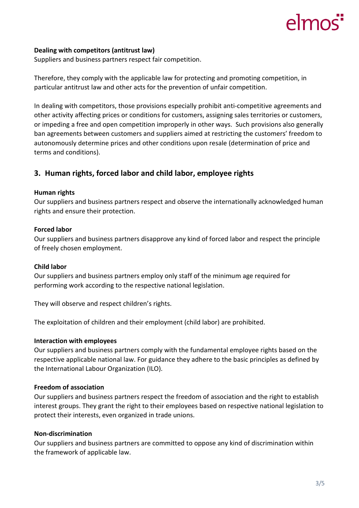# elmo

#### **Dealing with competitors (antitrust law)**

Suppliers and business partners respect fair competition.

Therefore, they comply with the applicable law for protecting and promoting competition, in particular antitrust law and other acts for the prevention of unfair competition.

In dealing with competitors, those provisions especially prohibit anti-competitive agreements and other activity affecting prices or conditions for customers, assigning sales territories or customers, or impeding a free and open competition improperly in other ways. Such provisions also generally ban agreements between customers and suppliers aimed at restricting the customers' freedom to autonomously determine prices and other conditions upon resale (determination of price and terms and conditions).

# **3. Human rights, forced labor and child labor, employee rights**

#### **Human rights**

Our suppliers and business partners respect and observe the internationally acknowledged human rights and ensure their protection.

#### **Forced labor**

Our suppliers and business partners disapprove any kind of forced labor and respect the principle of freely chosen employment.

#### **Child labor**

Our suppliers and business partners employ only staff of the minimum age required for performing work according to the respective national legislation.

They will observe and respect children's rights.

The exploitation of children and their employment (child labor) are prohibited.

#### **Interaction with employees**

Our suppliers and business partners comply with the fundamental employee rights based on the respective applicable national law. For guidance they adhere to the basic principles as defined by the International Labour Organization (ILO).

#### **Freedom of association**

Our suppliers and business partners respect the freedom of association and the right to establish interest groups. They grant the right to their employees based on respective national legislation to protect their interests, even organized in trade unions.

#### **Non-discrimination**

Our suppliers and business partners are committed to oppose any kind of discrimination within the framework of applicable law.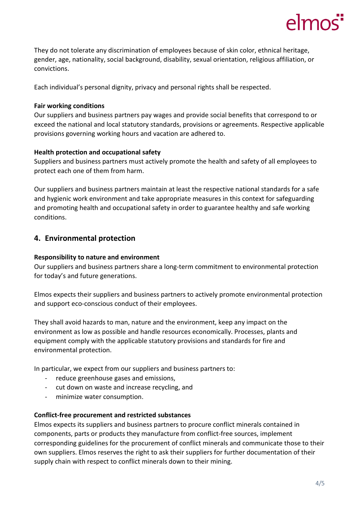

They do not tolerate any discrimination of employees because of skin color, ethnical heritage, gender, age, nationality, social background, disability, sexual orientation, religious affiliation, or convictions.

Each individual's personal dignity, privacy and personal rights shall be respected.

#### **Fair working conditions**

Our suppliers and business partners pay wages and provide social benefits that correspond to or exceed the national and local statutory standards, provisions or agreements. Respective applicable provisions governing working hours and vacation are adhered to.

#### **Health protection and occupational safety**

Suppliers and business partners must actively promote the health and safety of all employees to protect each one of them from harm.

Our suppliers and business partners maintain at least the respective national standards for a safe and hygienic work environment and take appropriate measures in this context for safeguarding and promoting health and occupational safety in order to guarantee healthy and safe working conditions.

# **4. Environmental protection**

#### **Responsibility to nature and environment**

Our suppliers and business partners share a long-term commitment to environmental protection for today's and future generations.

Elmos expects their suppliers and business partners to actively promote environmental protection and support eco-conscious conduct of their employees.

They shall avoid hazards to man, nature and the environment, keep any impact on the environment as low as possible and handle resources economically. Processes, plants and equipment comply with the applicable statutory provisions and standards for fire and environmental protection.

In particular, we expect from our suppliers and business partners to:

- reduce greenhouse gases and emissions,
- cut down on waste and increase recycling, and
- minimize water consumption.

#### **Conflict-free procurement and restricted substances**

Elmos expects its suppliers and business partners to procure conflict minerals contained in components, parts or products they manufacture from conflict-free sources, implement corresponding guidelines for the procurement of conflict minerals and communicate those to their own suppliers. Elmos reserves the right to ask their suppliers for further documentation of their supply chain with respect to conflict minerals down to their mining.